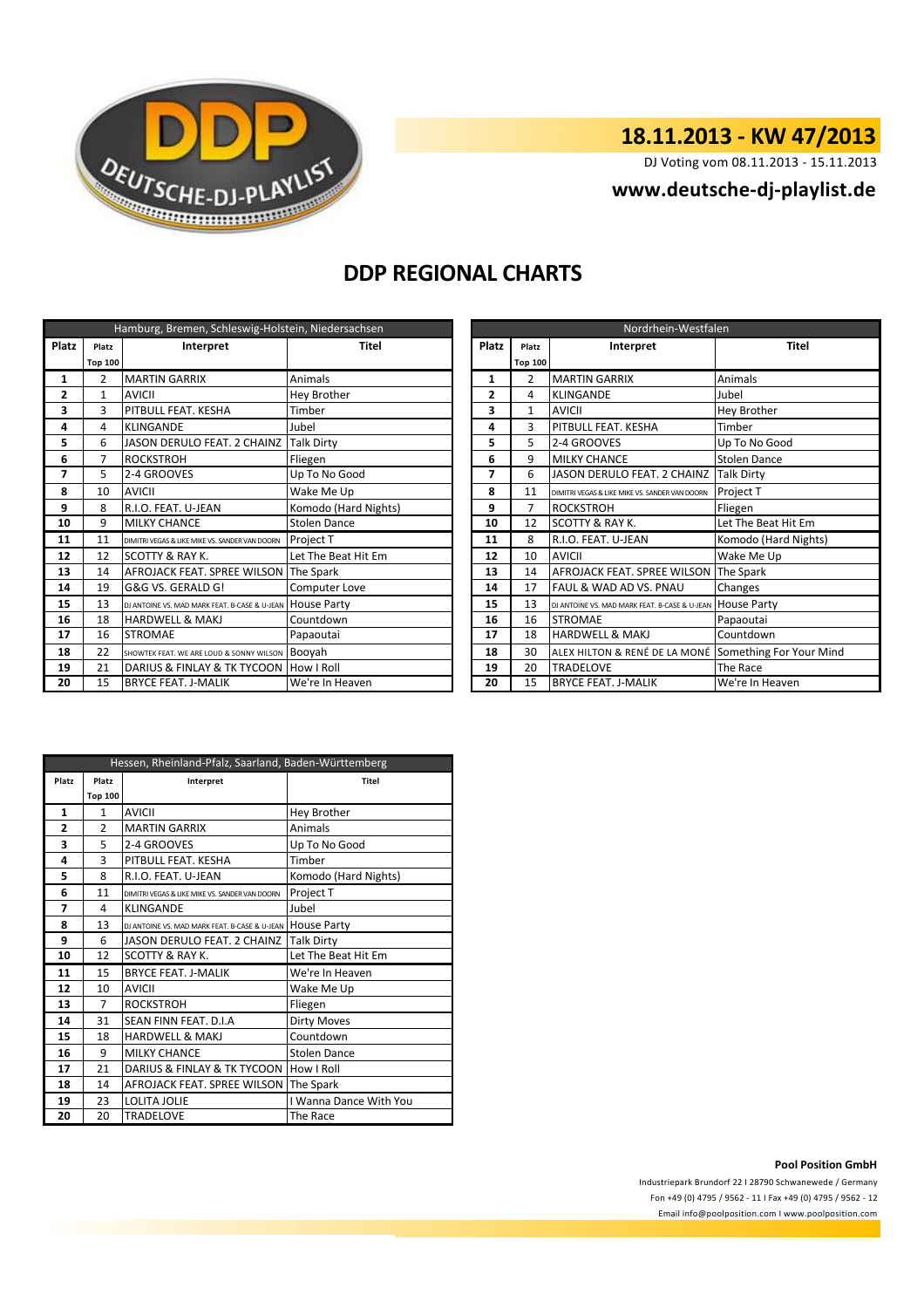

## **18.11.2013 - KW 47/2013**

DJ Voting vom 08.11.2013 - 15.11.2013

### **<www.deutsche-dj-playlist.de>**

## **DDP REGIONAL CHARTS**

| Hamburg, Bremen, Schleswig-Holstein, Niedersachsen |                |                                                           |                      |                     | Nordrhein-Westfalen |                |                                                |                         |  |
|----------------------------------------------------|----------------|-----------------------------------------------------------|----------------------|---------------------|---------------------|----------------|------------------------------------------------|-------------------------|--|
| <b>Platz</b>                                       | Platz          | <b>Platz</b><br>Interpret<br>Titel                        |                      | Platz               | Interpret           | <b>Titel</b>   |                                                |                         |  |
|                                                    | <b>Top 100</b> |                                                           |                      |                     |                     | <b>Top 100</b> |                                                |                         |  |
| 1                                                  | 2              | <b>MARTIN GARRIX</b>                                      | Animals              | $\overline{2}$<br>1 |                     |                | <b>MARTIN GARRIX</b>                           | Animals                 |  |
| 2                                                  | 1              | <b>AVICII</b>                                             | Hey Brother          |                     | 2                   | 4              | <b>KLINGANDE</b>                               | Jubel                   |  |
| 3                                                  | 3              | PITBULL FEAT. KESHA                                       | Timber               |                     | 3                   | 1              | <b>AVICII</b>                                  | <b>Hey Brother</b>      |  |
| 4                                                  | 4              | KLINGANDE                                                 | Jubel                |                     | 3<br>4              |                | PITBULL FEAT. KESHA                            | Timber                  |  |
| 5                                                  | 6              | <b>JASON DERULO FEAT. 2 CHAINZ</b>                        | <b>Talk Dirty</b>    |                     | 5                   |                | 2-4 GROOVES                                    | Up To No Good           |  |
| 6                                                  | 7              | <b>ROCKSTROH</b>                                          | Fliegen              |                     | 6                   | 9              | <b>MILKY CHANCE</b>                            | <b>Stolen Dance</b>     |  |
| 7                                                  | 5              | 2-4 GROOVES                                               | Up To No Good        |                     |                     | 6              | <b>JASON DERULO FEAT. 2 CHAINZ</b>             | <b>Talk Dirty</b>       |  |
| 8                                                  | 10             | <b>AVICII</b>                                             | Wake Me Up           |                     | 8                   | 11             | DIMITRI VEGAS & LIKE MIKE VS. SANDER VAN DOORN | Project T               |  |
| 9                                                  | 8              | R.I.O. FEAT. U-JEAN                                       | Komodo (Hard Nights) |                     | 9                   | 7              | <b>ROCKSTROH</b>                               | Fliegen                 |  |
| 10                                                 | 9              | <b>MILKY CHANCE</b>                                       | <b>Stolen Dance</b>  |                     | 10                  | 12             | SCOTTY & RAY K.                                | Let The Beat Hit Em     |  |
| 11                                                 | 11             | DIMITRI VEGAS & LIKE MIKE VS. SANDER VAN DOORN            | <b>Project T</b>     |                     | 11                  | 8              | R.I.O. FEAT. U-JEAN                            | Komodo (Hard Nights)    |  |
| 12                                                 | 12             | <b>SCOTTY &amp; RAY K.</b>                                | Let The Beat Hit Em  |                     | 12                  | 10             | <b>AVICII</b>                                  | Wake Me Up              |  |
| 13                                                 | 14             | AFROJACK FEAT. SPREE WILSON                               | The Spark            |                     | 13                  | 14             | AFROJACK FEAT. SPREE WILSON                    | The Spark               |  |
| 14                                                 | 19             | G&G VS. GERALD G!                                         | Computer Love        |                     | 14                  | 17             | FAUL & WAD AD VS. PNAU                         | Changes                 |  |
| 15                                                 | 13             | DJ ANTOINE VS. MAD MARK FEAT. B-CASE & U-JEAN HOUSE Party |                      |                     | 15                  | 13             | DJ ANTOINE VS, MAD MARK FEAT, B-CASE & U-JEAN  | <b>House Party</b>      |  |
| 16                                                 | 18             | <b>HARDWELL &amp; MAKJ</b>                                | Countdown            |                     | 16                  | 16             | <b>STROMAE</b>                                 | Papaoutai               |  |
| 17                                                 | 16             | <b>STROMAE</b>                                            | Papaoutai            |                     | 17                  | 18             | <b>HARDWELL &amp; MAKJ</b>                     | Countdown               |  |
| 18                                                 | 22             | SHOWTEK FEAT. WE ARE LOUD & SONNY WILSON                  | Booyah               |                     | 18                  | 30             | ALEX HILTON & RENÉ DE LA MONÉ                  | Something For Your Mind |  |
| 19                                                 | 21             | DARIUS & FINLAY & TK TYCOON   How I Roll                  |                      |                     | 19                  | 20             | <b>TRADELOVE</b>                               | The Race                |  |
| 20                                                 | 15             | <b>BRYCE FEAT. J-MALIK</b>                                | We're In Heaven      |                     | 20                  | 15             | <b>BRYCE FEAT. J-MALIK</b>                     | We're In Heaven         |  |

| Nordrhein-Westfalen |                    |                                                |                         |  |  |  |
|---------------------|--------------------|------------------------------------------------|-------------------------|--|--|--|
| <b>Platz</b>        | Interpret<br>Platz |                                                | <b>Titel</b>            |  |  |  |
|                     | <b>Top 100</b>     |                                                |                         |  |  |  |
| 1                   | $\overline{2}$     | <b>MARTIN GARRIX</b>                           | Animals                 |  |  |  |
| $\overline{2}$      | 4                  | <b>KLINGANDE</b>                               | Jubel                   |  |  |  |
| 3                   | $\mathbf{1}$       | <b>AVICII</b>                                  | Hey Brother             |  |  |  |
| 4                   | 3                  | PITBULL FEAT. KESHA                            | Timber                  |  |  |  |
| 5                   | 5                  | 2-4 GROOVES                                    | Up To No Good           |  |  |  |
| 6                   | 9                  | <b>MILKY CHANCE</b>                            | <b>Stolen Dance</b>     |  |  |  |
| 7                   | 6                  | JASON DERULO FEAT. 2 CHAINZ                    | <b>Talk Dirty</b>       |  |  |  |
| 8                   | 11                 | DIMITRI VEGAS & LIKE MIKE VS. SANDER VAN DOORN | Project T               |  |  |  |
| 9                   | 7                  | <b>ROCKSTROH</b>                               | Fliegen                 |  |  |  |
| 10                  | 12                 | SCOTTY & RAY K.                                | Let The Beat Hit Em     |  |  |  |
| 11                  | 8                  | R.I.O. FEAT. U-JEAN                            | Komodo (Hard Nights)    |  |  |  |
| 12                  | 10                 | <b>AVICII</b>                                  | Wake Me Up              |  |  |  |
| 13                  | 14                 | AFROJACK FEAT, SPREE WILSON                    | The Spark               |  |  |  |
| 14                  | 17                 | <b>FAUL &amp; WAD AD VS. PNAU</b>              | Changes                 |  |  |  |
| 15                  | 13                 | DJ ANTOINE VS. MAD MARK FEAT. B-CASE & U-JEAN  | <b>House Party</b>      |  |  |  |
| 16                  | 16                 | <b>STROMAE</b>                                 | Papaoutai               |  |  |  |
| 17                  | 18                 | <b>HARDWELL &amp; MAKJ</b>                     | Countdown               |  |  |  |
| 18                  | 30                 | ALEX HILTON & RENÉ DE LA MONÉ                  | Something For Your Mind |  |  |  |
| 19                  | 20                 | <b>TRADELOVE</b>                               | The Race                |  |  |  |
| 20                  | 15                 | <b>BRYCE FEAT. J-MALIK</b>                     | We're In Heaven         |  |  |  |

| Hessen, Rheinland-Pfalz, Saarland, Baden-Württemberg |                    |                                                |                        |  |  |  |
|------------------------------------------------------|--------------------|------------------------------------------------|------------------------|--|--|--|
| Platz                                                | Platz<br>Interpret |                                                | <b>Titel</b>           |  |  |  |
|                                                      | <b>Top 100</b>     |                                                |                        |  |  |  |
| 1                                                    | $\mathbf{1}$       | <b>AVICII</b>                                  | Hey Brother            |  |  |  |
| $\overline{2}$                                       | $\overline{2}$     | <b>MARTIN GARRIX</b>                           | Animals                |  |  |  |
| 3                                                    | 5                  | 2-4 GROOVES                                    | Up To No Good          |  |  |  |
| 4                                                    | 3                  | PITBULL FEAT. KESHA                            | Timber                 |  |  |  |
| 5                                                    | 8                  | R.I.O. FEAT. U-JEAN                            | Komodo (Hard Nights)   |  |  |  |
| 6                                                    | 11                 | DIMITRI VEGAS & LIKE MIKE VS. SANDER VAN DOORN | Project T              |  |  |  |
| 7                                                    | 4                  | <b>KLINGANDE</b>                               | Jubel                  |  |  |  |
| 8                                                    | 13                 | DJ ANTOINE VS. MAD MARK FEAT. B-CASE & U-JEAN  | <b>House Party</b>     |  |  |  |
| 9                                                    | 6                  | JASON DERULO FEAT. 2 CHAINZ                    | <b>Talk Dirty</b>      |  |  |  |
| 10                                                   | 12                 | <b>SCOTTY &amp; RAY K.</b>                     | Let The Beat Hit Em    |  |  |  |
| 11                                                   | 15                 | <b>BRYCE FEAT, J-MALIK</b>                     | We're In Heaven        |  |  |  |
| 12                                                   | 10                 | <b>AVICII</b>                                  | Wake Me Up             |  |  |  |
| 13                                                   | $\overline{7}$     | <b>ROCKSTROH</b>                               | Fliegen                |  |  |  |
| 14                                                   | 31                 | SEAN FINN FEAT, D.I.A                          | <b>Dirty Moves</b>     |  |  |  |
| 15                                                   | 18                 | <b>HARDWELL &amp; MAKJ</b>                     | Countdown              |  |  |  |
| 16                                                   | 9                  | <b>MILKY CHANCE</b>                            | <b>Stolen Dance</b>    |  |  |  |
| 17                                                   | 21                 | DARIUS & FINLAY & TK TYCOON                    | How I Roll             |  |  |  |
| 18                                                   | 14                 | AFROJACK FEAT. SPREE WILSON                    | The Spark              |  |  |  |
| 19                                                   | 23                 | <b>LOLITA JOLIE</b>                            | I Wanna Dance With You |  |  |  |
| 20                                                   | 20                 | <b>TRADELOVE</b>                               | The Race               |  |  |  |

### **Pool Position GmbH**

Industriepark Brundorf 22 I 28790 Schwanewede / Germany Fon +49 (0) 4795 / 9562 - 11 I Fax +49 (0) 4795 / 9562 - 12 <Email info@poolposition.com I www.poolposition.com>